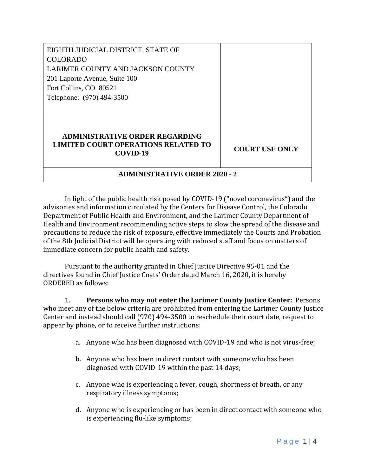| EIGHTH JUDICIAL DISTRICT, STATE OF                                                              |                       |
|-------------------------------------------------------------------------------------------------|-----------------------|
| <b>COLORADO</b>                                                                                 |                       |
| LARIMER COUNTY AND JACKSON COUNTY                                                               |                       |
| 201 Laporte Avenue, Suite 100                                                                   |                       |
| Fort Collins, CO 80521                                                                          |                       |
| Telephone: (970) 494-3500                                                                       |                       |
|                                                                                                 |                       |
|                                                                                                 |                       |
| <b>ADMINISTRATIVE ORDER REGARDING</b><br><b>LIMITED COURT OPERATIONS RELATED TO</b><br>COVID-19 | <b>COURT USE ONLY</b> |
| <b>ADMINISTRATIVE ORDER 2020 - 2</b>                                                            |                       |

In light of the public health risk posed by COVID-19 ("novel coronavirus") and the advisories and information circulated by the Centers for Disease Control, the Colorado Department of Public Health and Environment, and the Larimer County Department of Health and Environment recommending active steps to slow the spread of the disease and precautions to reduce the risk of exposure, effective immediately the Courts and Probation of the 8th Judicial District will be operating with reduced staff and focus on matters of immediate concern for public health and safety.

Pursuant to the authority granted in Chief Justice Directive 95-01 and the directives found in Chief Justice Coats' Order dated March 16, 2020, it is hereby ORDERED as follows:

1. **Persons who may not enter the Larimer County Justice Center:** Persons who meet any of the below criteria are prohibited from entering the Larimer County Justice Center and instead should call (970) 494-3500 to reschedule their court date, request to appear by phone, or to receive further instructions:

- a. Anyone who has been diagnosed with COVID-19 and who is not virus-free;
- b. Anyone who has been in direct contact with someone who has been diagnosed with COVID-19 within the past 14 days;
- c. Anyone who is experiencing a fever, cough, shortness of breath, or any respiratory illness symptoms;
- d. Anyone who is experiencing or has been in direct contact with someone who is experiencing flu-like symptoms;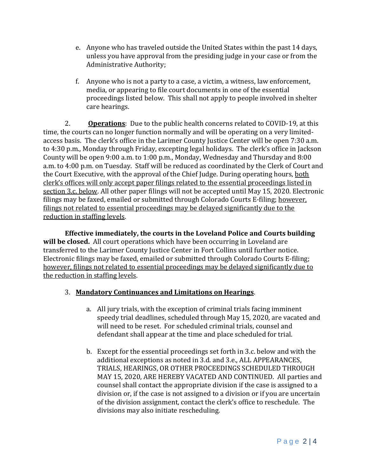- e. Anyone who has traveled outside the United States within the past 14 days, unless you have approval from the presiding judge in your case or from the Administrative Authority;
- f. Anyone who is not a party to a case, a victim, a witness, law enforcement, media, or appearing to file court documents in one of the essential proceedings listed below. This shall not apply to people involved in shelter care hearings.

2. **Operations**: Due to the public health concerns related to COVID-19, at this time, the courts can no longer function normally and will be operating on a very limitedaccess basis. The clerk's office in the Larimer County Justice Center will be open 7:30 a.m. to 4:30 p.m., Monday through Friday, excepting legal holidays. The clerk's office in Jackson County will be open 9:00 a.m. to 1:00 p.m., Monday, Wednesday and Thursday and 8:00 a.m. to 4:00 p.m. on Tuesday. Staff will be reduced as coordinated by the Clerk of Court and the Court Executive, with the approval of the Chief Judge. During operating hours, both clerk's offices will only accept paper filings related to the essential proceedings listed in section 3.c. below. All other paper filings will not be accepted until May 15, 2020. Electronic filings may be faxed, emailed or submitted through Colorado Courts E-filing; however, filings not related to essential proceedings may be delayed significantly due to the reduction in staffing levels.

**Effective immediately, the courts in the Loveland Police and Courts building will be closed.** All court operations which have been occurring in Loveland are transferred to the Larimer County Justice Center in Fort Collins until further notice. Electronic filings may be faxed, emailed or submitted through Colorado Courts E-filing; however, filings not related to essential proceedings may be delayed significantly due to the reduction in staffing levels.

## 3. **Mandatory Continuances and Limitations on Hearings**.

- a. All jury trials, with the exception of criminal trials facing imminent speedy trial deadlines, scheduled through May 15, 2020, are vacated and will need to be reset. For scheduled criminal trials, counsel and defendant shall appear at the time and place scheduled for trial.
- b. Except for the essential proceedings set forth in 3.c. below and with the additional exceptions as noted in 3.d. and 3.e., ALL APPEARANCES, TRIALS, HEARINGS, OR OTHER PROCEEDINGS SCHEDULED THROUGH MAY 15, 2020, ARE HEREBY VACATED AND CONTINUED. All parties and counsel shall contact the appropriate division if the case is assigned to a division or, if the case is not assigned to a division or if you are uncertain of the division assignment, contact the clerk's office to reschedule. The divisions may also initiate rescheduling.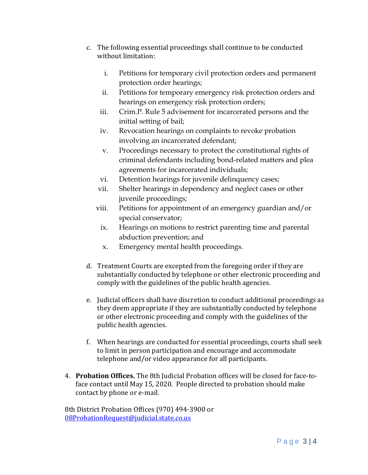- c. The following essential proceedings shall continue to be conducted without limitation:
	- i. Petitions for temporary civil protection orders and permanent protection order hearings;
	- ii. Petitions for temporary emergency risk protection orders and hearings on emergency risk protection orders;
	- iii. Crim.P. Rule 5 advisement for incarcerated persons and the initial setting of bail;
	- iv. Revocation hearings on complaints to revoke probation involving an incarcerated defendant;
	- v. Proceedings necessary to protect the constitutional rights of criminal defendants including bond-related matters and plea agreements for incarcerated individuals;
	- vi. Detention hearings for juvenile delinquency cases;
	- vii. Shelter hearings in dependency and neglect cases or other juvenile proceedings;
	- viii. Petitions for appointment of an emergency guardian and/or special conservator;
		- ix. Hearings on motions to restrict parenting time and parental abduction prevention; and
		- x. Emergency mental health proceedings.
- d. Treatment Courts are excepted from the foregoing order if they are substantially conducted by telephone or other electronic proceeding and comply with the guidelines of the public health agencies.
- e. Judicial officers shall have discretion to conduct additional proceedings as they deem appropriate if they are substantially conducted by telephone or other electronic proceeding and comply with the guidelines of the public health agencies.
- f. When hearings are conducted for essential proceedings, courts shall seek to limit in person participation and encourage and accommodate telephone and/or video appearance for all participants.
- 4. **Probation Offices.** The 8th Judicial Probation offices will be closed for face-toface contact until May 15, 2020. People directed to probation should make contact by phone or e-mail.

8th District Probation Offices (970) 494-3900 or [08ProbationRequest@judicial.state.co.us](mailto:08ProbationRequest@judicial.state.co.us)